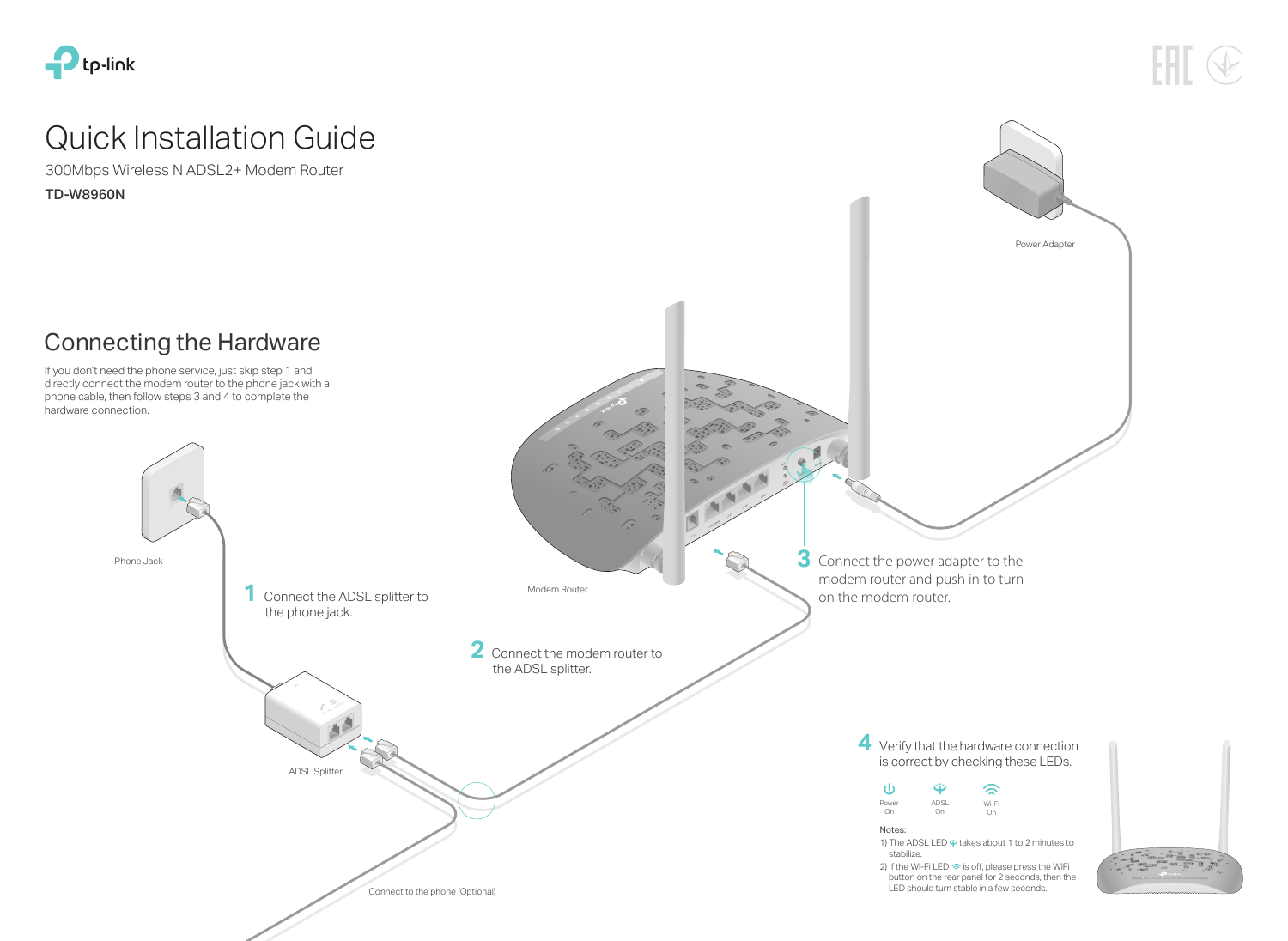# Connecting the Hardware



# Quick Installation Guide



TD-W8960N 300Mbps Wireless N ADSL2+ Modem Router

> **4** Verify that the hardware connection is correct by checking these LEDs.

1) The ADSL LED  $\dot{\mathbf{\Theta}}$  takes about 1 to 2 minutes to

directly connect the modem router to the phone jack with a phone cable, then follow steps 3 and 4 to complete the hardware connection.

> 2) If the Wi-Fi LED  $\hat{\mathbb{R}}$  is off, please press the WiFi button on the rear panel for 2 seconds, then the LED should turn stable in a few seconds.